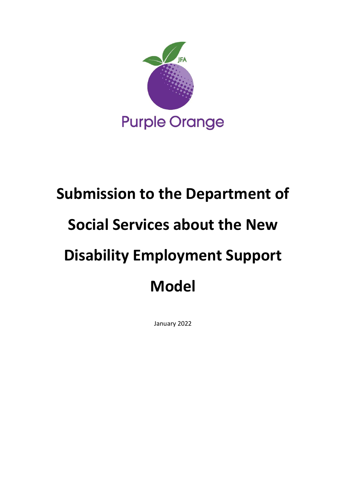

# Submission to the Department of Social Services about the New Disability Employment Support Model

January 2022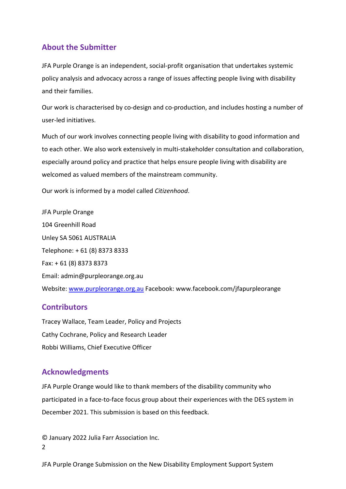# About the Submitter

JFA Purple Orange is an independent, social-profit organisation that undertakes systemic policy analysis and advocacy across a range of issues affecting people living with disability and their families.

Our work is characterised by co-design and co-production, and includes hosting a number of user-led initiatives.

Much of our work involves connecting people living with disability to good information and to each other. We also work extensively in multi-stakeholder consultation and collaboration, especially around policy and practice that helps ensure people living with disability are welcomed as valued members of the mainstream community.

Our work is informed by a model called Citizenhood.

JFA Purple Orange 104 Greenhill Road Unley SA 5061 AUSTRALIA Telephone: + 61 (8) 8373 8333 Fax: + 61 (8) 8373 8373 Email: admin@purpleorange.org.au Website: www.purpleorange.org.au Facebook: www.facebook.com/jfapurpleorange

# **Contributors**

Tracey Wallace, Team Leader, Policy and Projects Cathy Cochrane, Policy and Research Leader Robbi Williams, Chief Executive Officer

# Acknowledgments

JFA Purple Orange would like to thank members of the disability community who participated in a face-to-face focus group about their experiences with the DES system in December 2021. This submission is based on this feedback.

2 © January 2022 Julia Farr Association Inc.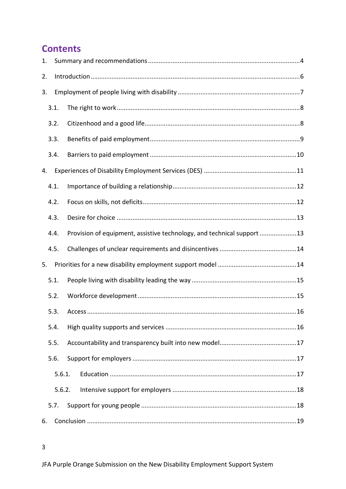# **Contents**

| 1.               |      |                                                                        |  |  |
|------------------|------|------------------------------------------------------------------------|--|--|
| 2.               |      |                                                                        |  |  |
| 3.               |      |                                                                        |  |  |
|                  | 3.1. |                                                                        |  |  |
|                  | 3.2. |                                                                        |  |  |
|                  | 3.3. |                                                                        |  |  |
|                  | 3.4. |                                                                        |  |  |
| 4.               |      |                                                                        |  |  |
|                  | 4.1. |                                                                        |  |  |
|                  | 4.2. |                                                                        |  |  |
|                  | 4.3. |                                                                        |  |  |
|                  | 4.4. | Provision of equipment, assistive technology, and technical support 13 |  |  |
|                  | 4.5. |                                                                        |  |  |
| 5.               |      |                                                                        |  |  |
|                  | 5.1. |                                                                        |  |  |
|                  | 5.2. |                                                                        |  |  |
|                  | 5.3. |                                                                        |  |  |
|                  | 5.4. |                                                                        |  |  |
|                  | 5.5. |                                                                        |  |  |
|                  | 5.6. |                                                                        |  |  |
| 5.6.1.<br>5.6.2. |      |                                                                        |  |  |
|                  |      |                                                                        |  |  |
|                  | 5.7. |                                                                        |  |  |
| 6.               |      |                                                                        |  |  |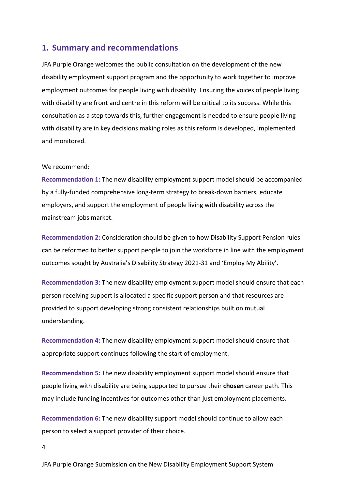# 1. Summary and recommendations

JFA Purple Orange welcomes the public consultation on the development of the new disability employment support program and the opportunity to work together to improve employment outcomes for people living with disability. Ensuring the voices of people living with disability are front and centre in this reform will be critical to its success. While this consultation as a step towards this, further engagement is needed to ensure people living with disability are in key decisions making roles as this reform is developed, implemented and monitored.

#### We recommend:

Recommendation 1: The new disability employment support model should be accompanied by a fully-funded comprehensive long-term strategy to break-down barriers, educate employers, and support the employment of people living with disability across the mainstream jobs market.

Recommendation 2: Consideration should be given to how Disability Support Pension rules can be reformed to better support people to join the workforce in line with the employment outcomes sought by Australia's Disability Strategy 2021-31 and 'Employ My Ability'.

Recommendation 3: The new disability employment support model should ensure that each person receiving support is allocated a specific support person and that resources are provided to support developing strong consistent relationships built on mutual understanding.

Recommendation 4: The new disability employment support model should ensure that appropriate support continues following the start of employment.

Recommendation 5: The new disability employment support model should ensure that people living with disability are being supported to pursue their chosen career path. This may include funding incentives for outcomes other than just employment placements.

Recommendation 6: The new disability support model should continue to allow each person to select a support provider of their choice.

4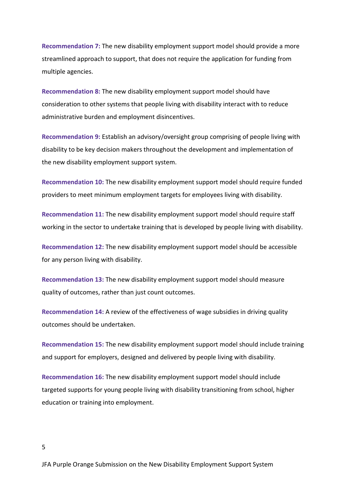Recommendation 7: The new disability employment support model should provide a more streamlined approach to support, that does not require the application for funding from multiple agencies.

Recommendation 8: The new disability employment support model should have consideration to other systems that people living with disability interact with to reduce administrative burden and employment disincentives.

Recommendation 9: Establish an advisory/oversight group comprising of people living with disability to be key decision makers throughout the development and implementation of the new disability employment support system.

Recommendation 10: The new disability employment support model should require funded providers to meet minimum employment targets for employees living with disability.

Recommendation 11: The new disability employment support model should require staff working in the sector to undertake training that is developed by people living with disability.

Recommendation 12: The new disability employment support model should be accessible for any person living with disability.

Recommendation 13: The new disability employment support model should measure quality of outcomes, rather than just count outcomes.

Recommendation 14: A review of the effectiveness of wage subsidies in driving quality outcomes should be undertaken.

Recommendation 15: The new disability employment support model should include training and support for employers, designed and delivered by people living with disability.

Recommendation 16: The new disability employment support model should include targeted supports for young people living with disability transitioning from school, higher education or training into employment.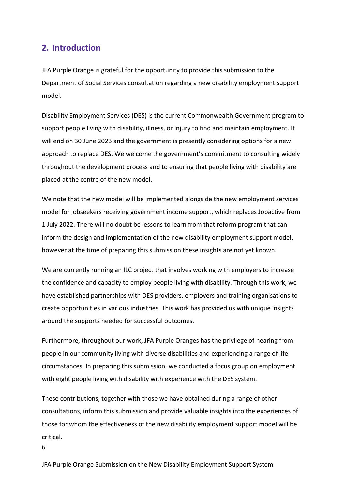# 2. Introduction

6

JFA Purple Orange is grateful for the opportunity to provide this submission to the Department of Social Services consultation regarding a new disability employment support model.

Disability Employment Services (DES) is the current Commonwealth Government program to support people living with disability, illness, or injury to find and maintain employment. It will end on 30 June 2023 and the government is presently considering options for a new approach to replace DES. We welcome the government's commitment to consulting widely throughout the development process and to ensuring that people living with disability are placed at the centre of the new model.

We note that the new model will be implemented alongside the new employment services model for jobseekers receiving government income support, which replaces Jobactive from 1 July 2022. There will no doubt be lessons to learn from that reform program that can inform the design and implementation of the new disability employment support model, however at the time of preparing this submission these insights are not yet known.

We are currently running an ILC project that involves working with employers to increase the confidence and capacity to employ people living with disability. Through this work, we have established partnerships with DES providers, employers and training organisations to create opportunities in various industries. This work has provided us with unique insights around the supports needed for successful outcomes.

Furthermore, throughout our work, JFA Purple Oranges has the privilege of hearing from people in our community living with diverse disabilities and experiencing a range of life circumstances. In preparing this submission, we conducted a focus group on employment with eight people living with disability with experience with the DES system.

These contributions, together with those we have obtained during a range of other consultations, inform this submission and provide valuable insights into the experiences of those for whom the effectiveness of the new disability employment support model will be critical.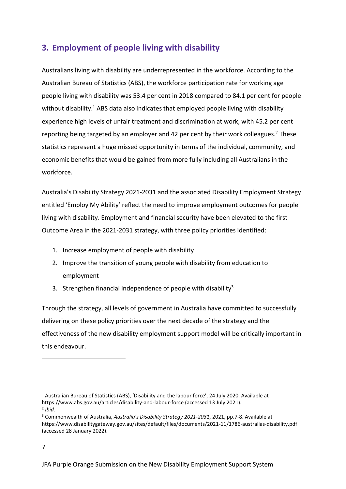# 3. Employment of people living with disability

Australians living with disability are underrepresented in the workforce. According to the Australian Bureau of Statistics (ABS), the workforce participation rate for working age people living with disability was 53.4 per cent in 2018 compared to 84.1 per cent for people without disability.<sup>1</sup> ABS data also indicates that employed people living with disability experience high levels of unfair treatment and discrimination at work, with 45.2 per cent reporting being targeted by an employer and 42 per cent by their work colleagues.<sup>2</sup> These statistics represent a huge missed opportunity in terms of the individual, community, and economic benefits that would be gained from more fully including all Australians in the workforce.

Australia's Disability Strategy 2021-2031 and the associated Disability Employment Strategy entitled 'Employ My Ability' reflect the need to improve employment outcomes for people living with disability. Employment and financial security have been elevated to the first Outcome Area in the 2021-2031 strategy, with three policy priorities identified:

- 1. Increase employment of people with disability
- 2. Improve the transition of young people with disability from education to employment
- 3. Strengthen financial independence of people with disability<sup>3</sup>

Through the strategy, all levels of government in Australia have committed to successfully delivering on these policy priorities over the next decade of the strategy and the effectiveness of the new disability employment support model will be critically important in this endeavour.

<sup>&</sup>lt;sup>1</sup> Australian Bureau of Statistics (ABS), 'Disability and the labour force', 24 July 2020. Available at https://www.abs.gov.au/articles/disability-and-labour-force (accessed 13 July 2021).  $<sup>2</sup>$  Ibid.</sup>

<sup>&</sup>lt;sup>3</sup> Commonwealth of Australia, Australia's Disability Strategy 2021-2031, 2021, pp.7-8. Available at https://www.disabilitygateway.gov.au/sites/default/files/documents/2021-11/1786-australias-disability.pdf (accessed 28 January 2022).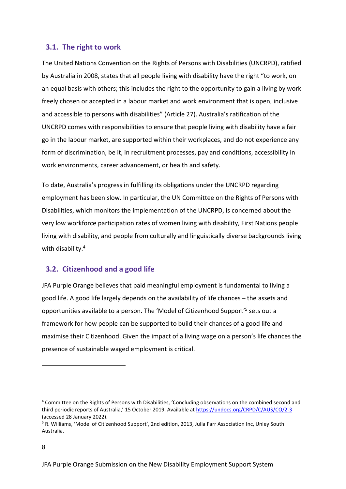#### 3.1. The right to work

The United Nations Convention on the Rights of Persons with Disabilities (UNCRPD), ratified by Australia in 2008, states that all people living with disability have the right "to work, on an equal basis with others; this includes the right to the opportunity to gain a living by work freely chosen or accepted in a labour market and work environment that is open, inclusive and accessible to persons with disabilities" (Article 27). Australia's ratification of the UNCRPD comes with responsibilities to ensure that people living with disability have a fair go in the labour market, are supported within their workplaces, and do not experience any form of discrimination, be it, in recruitment processes, pay and conditions, accessibility in work environments, career advancement, or health and safety.

To date, Australia's progress in fulfilling its obligations under the UNCRPD regarding employment has been slow. In particular, the UN Committee on the Rights of Persons with Disabilities, which monitors the implementation of the UNCRPD, is concerned about the very low workforce participation rates of women living with disability, First Nations people living with disability, and people from culturally and linguistically diverse backgrounds living with disability.<sup>4</sup>

# 3.2. Citizenhood and a good life

JFA Purple Orange believes that paid meaningful employment is fundamental to living a good life. A good life largely depends on the availability of life chances – the assets and opportunities available to a person. The 'Model of Citizenhood Support'<sup>5</sup> sets out a framework for how people can be supported to build their chances of a good life and maximise their Citizenhood. Given the impact of a living wage on a person's life chances the presence of sustainable waged employment is critical.

<sup>4</sup> Committee on the Rights of Persons with Disabilities, 'Concluding observations on the combined second and third periodic reports of Australia,' 15 October 2019. Available at https://undocs.org/CRPD/C/AUS/CO/2-3 (accessed 28 January 2022).

<sup>&</sup>lt;sup>5</sup> R. Williams, 'Model of Citizenhood Support', 2nd edition, 2013, Julia Farr Association Inc, Unley South Australia.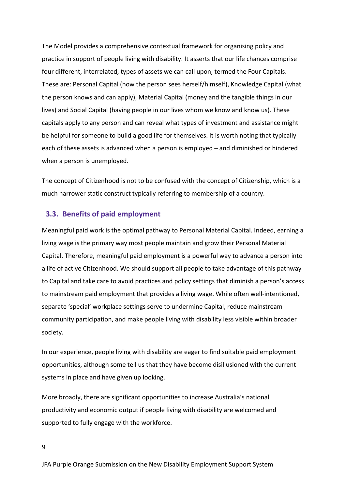The Model provides a comprehensive contextual framework for organising policy and practice in support of people living with disability. It asserts that our life chances comprise four different, interrelated, types of assets we can call upon, termed the Four Capitals. These are: Personal Capital (how the person sees herself/himself), Knowledge Capital (what the person knows and can apply), Material Capital (money and the tangible things in our lives) and Social Capital (having people in our lives whom we know and know us). These capitals apply to any person and can reveal what types of investment and assistance might be helpful for someone to build a good life for themselves. It is worth noting that typically each of these assets is advanced when a person is employed – and diminished or hindered when a person is unemployed.

The concept of Citizenhood is not to be confused with the concept of Citizenship, which is a much narrower static construct typically referring to membership of a country.

#### 3.3. Benefits of paid employment

Meaningful paid work is the optimal pathway to Personal Material Capital. Indeed, earning a living wage is the primary way most people maintain and grow their Personal Material Capital. Therefore, meaningful paid employment is a powerful way to advance a person into a life of active Citizenhood. We should support all people to take advantage of this pathway to Capital and take care to avoid practices and policy settings that diminish a person's access to mainstream paid employment that provides a living wage. While often well-intentioned, separate 'special' workplace settings serve to undermine Capital, reduce mainstream community participation, and make people living with disability less visible within broader society.

In our experience, people living with disability are eager to find suitable paid employment opportunities, although some tell us that they have become disillusioned with the current systems in place and have given up looking.

More broadly, there are significant opportunities to increase Australia's national productivity and economic output if people living with disability are welcomed and supported to fully engage with the workforce.

9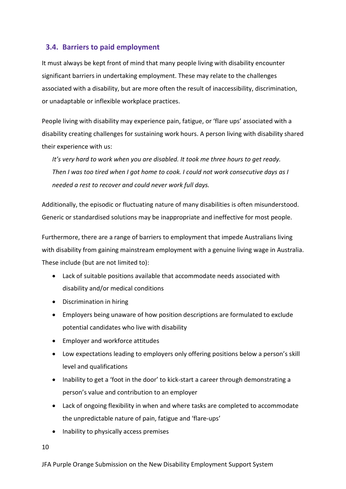# 3.4. Barriers to paid employment

It must always be kept front of mind that many people living with disability encounter significant barriers in undertaking employment. These may relate to the challenges associated with a disability, but are more often the result of inaccessibility, discrimination, or unadaptable or inflexible workplace practices.

People living with disability may experience pain, fatigue, or 'flare ups' associated with a disability creating challenges for sustaining work hours. A person living with disability shared their experience with us:

It's very hard to work when you are disabled. It took me three hours to get ready. Then I was too tired when I got home to cook. I could not work consecutive days as I needed a rest to recover and could never work full days.

Additionally, the episodic or fluctuating nature of many disabilities is often misunderstood. Generic or standardised solutions may be inappropriate and ineffective for most people.

Furthermore, there are a range of barriers to employment that impede Australians living with disability from gaining mainstream employment with a genuine living wage in Australia. These include (but are not limited to):

- Lack of suitable positions available that accommodate needs associated with disability and/or medical conditions
- Discrimination in hiring
- Employers being unaware of how position descriptions are formulated to exclude potential candidates who live with disability
- Employer and workforce attitudes
- Low expectations leading to employers only offering positions below a person's skill level and qualifications
- Inability to get a 'foot in the door' to kick-start a career through demonstrating a person's value and contribution to an employer
- Lack of ongoing flexibility in when and where tasks are completed to accommodate the unpredictable nature of pain, fatigue and 'flare-ups'
- Inability to physically access premises

10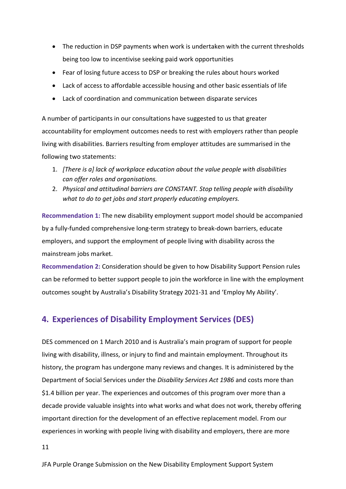- The reduction in DSP payments when work is undertaken with the current thresholds being too low to incentivise seeking paid work opportunities
- Fear of losing future access to DSP or breaking the rules about hours worked
- Lack of access to affordable accessible housing and other basic essentials of life
- Lack of coordination and communication between disparate services

A number of participants in our consultations have suggested to us that greater accountability for employment outcomes needs to rest with employers rather than people living with disabilities. Barriers resulting from employer attitudes are summarised in the following two statements:

- 1. [There is a] lack of workplace education about the value people with disabilities can offer roles and organisations.
- 2. Physical and attitudinal barriers are CONSTANT. Stop telling people with disability what to do to get jobs and start properly educating employers.

Recommendation 1: The new disability employment support model should be accompanied by a fully-funded comprehensive long-term strategy to break-down barriers, educate employers, and support the employment of people living with disability across the mainstream jobs market.

Recommendation 2: Consideration should be given to how Disability Support Pension rules can be reformed to better support people to join the workforce in line with the employment outcomes sought by Australia's Disability Strategy 2021-31 and 'Employ My Ability'.

# 4. Experiences of Disability Employment Services (DES)

DES commenced on 1 March 2010 and is Australia's main program of support for people living with disability, illness, or injury to find and maintain employment. Throughout its history, the program has undergone many reviews and changes. It is administered by the Department of Social Services under the Disability Services Act 1986 and costs more than \$1.4 billion per year. The experiences and outcomes of this program over more than a decade provide valuable insights into what works and what does not work, thereby offering important direction for the development of an effective replacement model. From our experiences in working with people living with disability and employers, there are more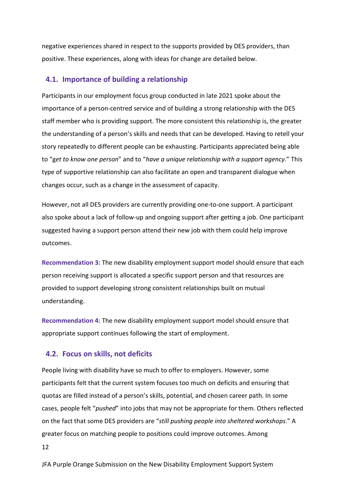negative experiences shared in respect to the supports provided by DES providers, than positive. These experiences, along with ideas for change are detailed below.

#### 4.1. Importance of building a relationship

Participants in our employment focus group conducted in late 2021 spoke about the importance of a person-centred service and of building a strong relationship with the DES staff member who is providing support. The more consistent this relationship is, the greater the understanding of a person's skills and needs that can be developed. Having to retell your story repeatedly to different people can be exhausting. Participants appreciated being able to "get to know one person" and to "have a unique relationship with a support agency." This type of supportive relationship can also facilitate an open and transparent dialogue when changes occur, such as a change in the assessment of capacity.

However, not all DES providers are currently providing one-to-one support. A participant also spoke about a lack of follow-up and ongoing support after getting a job. One participant suggested having a support person attend their new job with them could help improve outcomes.

Recommendation 3: The new disability employment support model should ensure that each person receiving support is allocated a specific support person and that resources are provided to support developing strong consistent relationships built on mutual understanding.

Recommendation 4: The new disability employment support model should ensure that appropriate support continues following the start of employment.

#### 4.2. Focus on skills, not deficits

People living with disability have so much to offer to employers. However, some participants felt that the current system focuses too much on deficits and ensuring that quotas are filled instead of a person's skills, potential, and chosen career path. In some cases, people felt "*pushed*" into jobs that may not be appropriate for them. Others reflected on the fact that some DES providers are "still pushing people into sheltered workshops." A greater focus on matching people to positions could improve outcomes. Among

12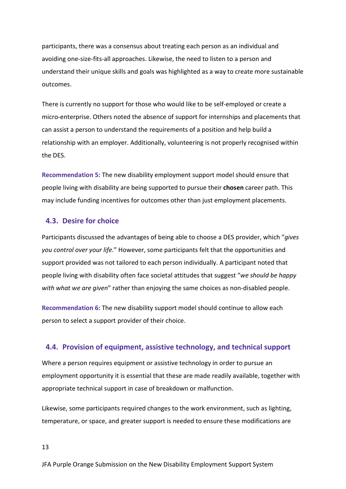participants, there was a consensus about treating each person as an individual and avoiding one-size-fits-all approaches. Likewise, the need to listen to a person and understand their unique skills and goals was highlighted as a way to create more sustainable outcomes.

There is currently no support for those who would like to be self-employed or create a micro-enterprise. Others noted the absence of support for internships and placements that can assist a person to understand the requirements of a position and help build a relationship with an employer. Additionally, volunteering is not properly recognised within the DES.

Recommendation 5: The new disability employment support model should ensure that people living with disability are being supported to pursue their chosen career path. This may include funding incentives for outcomes other than just employment placements.

#### 4.3. Desire for choice

Participants discussed the advantages of being able to choose a DES provider, which "gives you control over your life." However, some participants felt that the opportunities and support provided was not tailored to each person individually. A participant noted that people living with disability often face societal attitudes that suggest "we should be happy with what we are given" rather than enjoying the same choices as non-disabled people.

Recommendation 6: The new disability support model should continue to allow each person to select a support provider of their choice.

#### 4.4. Provision of equipment, assistive technology, and technical support

Where a person requires equipment or assistive technology in order to pursue an employment opportunity it is essential that these are made readily available, together with appropriate technical support in case of breakdown or malfunction.

Likewise, some participants required changes to the work environment, such as lighting, temperature, or space, and greater support is needed to ensure these modifications are

13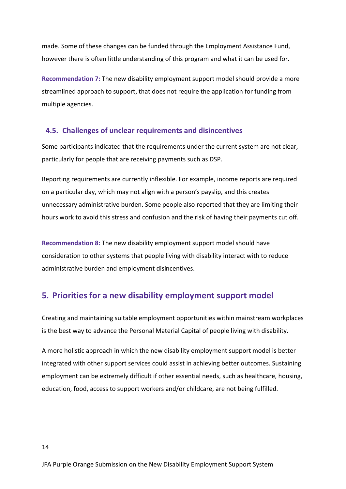made. Some of these changes can be funded through the Employment Assistance Fund, however there is often little understanding of this program and what it can be used for.

Recommendation 7: The new disability employment support model should provide a more streamlined approach to support, that does not require the application for funding from multiple agencies.

#### 4.5. Challenges of unclear requirements and disincentives

Some participants indicated that the requirements under the current system are not clear, particularly for people that are receiving payments such as DSP.

Reporting requirements are currently inflexible. For example, income reports are required on a particular day, which may not align with a person's payslip, and this creates unnecessary administrative burden. Some people also reported that they are limiting their hours work to avoid this stress and confusion and the risk of having their payments cut off.

Recommendation 8: The new disability employment support model should have consideration to other systems that people living with disability interact with to reduce administrative burden and employment disincentives.

# 5. Priorities for a new disability employment support model

Creating and maintaining suitable employment opportunities within mainstream workplaces is the best way to advance the Personal Material Capital of people living with disability.

A more holistic approach in which the new disability employment support model is better integrated with other support services could assist in achieving better outcomes. Sustaining employment can be extremely difficult if other essential needs, such as healthcare, housing, education, food, access to support workers and/or childcare, are not being fulfilled.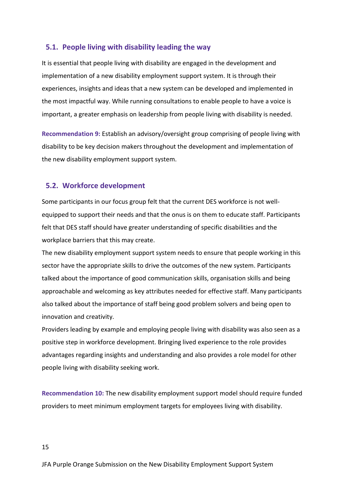#### 5.1. People living with disability leading the way

It is essential that people living with disability are engaged in the development and implementation of a new disability employment support system. It is through their experiences, insights and ideas that a new system can be developed and implemented in the most impactful way. While running consultations to enable people to have a voice is important, a greater emphasis on leadership from people living with disability is needed.

Recommendation 9: Establish an advisory/oversight group comprising of people living with disability to be key decision makers throughout the development and implementation of the new disability employment support system.

#### 5.2. Workforce development

Some participants in our focus group felt that the current DES workforce is not wellequipped to support their needs and that the onus is on them to educate staff. Participants felt that DES staff should have greater understanding of specific disabilities and the workplace barriers that this may create.

The new disability employment support system needs to ensure that people working in this sector have the appropriate skills to drive the outcomes of the new system. Participants talked about the importance of good communication skills, organisation skills and being approachable and welcoming as key attributes needed for effective staff. Many participants also talked about the importance of staff being good problem solvers and being open to innovation and creativity.

Providers leading by example and employing people living with disability was also seen as a positive step in workforce development. Bringing lived experience to the role provides advantages regarding insights and understanding and also provides a role model for other people living with disability seeking work.

Recommendation 10: The new disability employment support model should require funded providers to meet minimum employment targets for employees living with disability.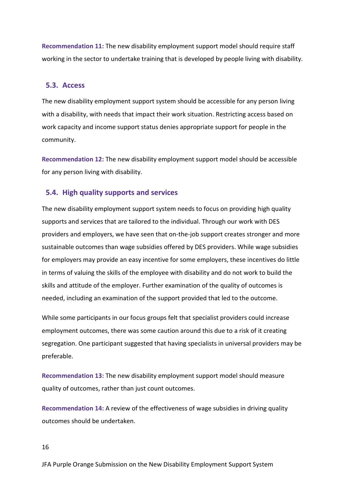Recommendation 11: The new disability employment support model should require staff working in the sector to undertake training that is developed by people living with disability.

#### 5.3. Access

The new disability employment support system should be accessible for any person living with a disability, with needs that impact their work situation. Restricting access based on work capacity and income support status denies appropriate support for people in the community.

Recommendation 12: The new disability employment support model should be accessible for any person living with disability.

#### 5.4. High quality supports and services

The new disability employment support system needs to focus on providing high quality supports and services that are tailored to the individual. Through our work with DES providers and employers, we have seen that on-the-job support creates stronger and more sustainable outcomes than wage subsidies offered by DES providers. While wage subsidies for employers may provide an easy incentive for some employers, these incentives do little in terms of valuing the skills of the employee with disability and do not work to build the skills and attitude of the employer. Further examination of the quality of outcomes is needed, including an examination of the support provided that led to the outcome.

While some participants in our focus groups felt that specialist providers could increase employment outcomes, there was some caution around this due to a risk of it creating segregation. One participant suggested that having specialists in universal providers may be preferable.

Recommendation 13: The new disability employment support model should measure quality of outcomes, rather than just count outcomes.

Recommendation 14: A review of the effectiveness of wage subsidies in driving quality outcomes should be undertaken.

16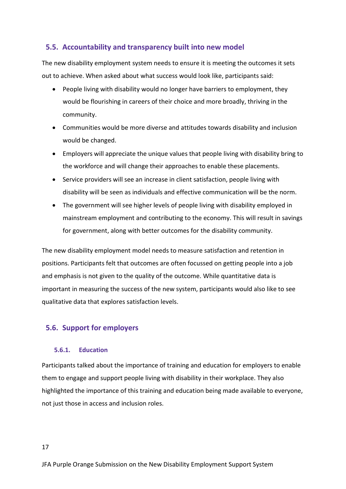# 5.5. Accountability and transparency built into new model

The new disability employment system needs to ensure it is meeting the outcomes it sets out to achieve. When asked about what success would look like, participants said:

- People living with disability would no longer have barriers to employment, they would be flourishing in careers of their choice and more broadly, thriving in the community.
- Communities would be more diverse and attitudes towards disability and inclusion would be changed.
- Employers will appreciate the unique values that people living with disability bring to the workforce and will change their approaches to enable these placements.
- Service providers will see an increase in client satisfaction, people living with disability will be seen as individuals and effective communication will be the norm.
- The government will see higher levels of people living with disability employed in mainstream employment and contributing to the economy. This will result in savings for government, along with better outcomes for the disability community.

The new disability employment model needs to measure satisfaction and retention in positions. Participants felt that outcomes are often focussed on getting people into a job and emphasis is not given to the quality of the outcome. While quantitative data is important in measuring the success of the new system, participants would also like to see qualitative data that explores satisfaction levels.

# 5.6. Support for employers

#### 5.6.1. Education

Participants talked about the importance of training and education for employers to enable them to engage and support people living with disability in their workplace. They also highlighted the importance of this training and education being made available to everyone, not just those in access and inclusion roles.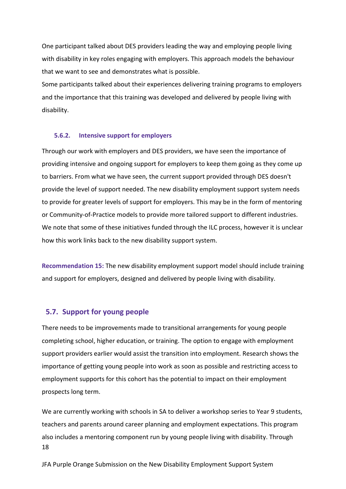One participant talked about DES providers leading the way and employing people living with disability in key roles engaging with employers. This approach models the behaviour that we want to see and demonstrates what is possible.

Some participants talked about their experiences delivering training programs to employers and the importance that this training was developed and delivered by people living with disability.

#### 5.6.2. Intensive support for employers

Through our work with employers and DES providers, we have seen the importance of providing intensive and ongoing support for employers to keep them going as they come up to barriers. From what we have seen, the current support provided through DES doesn't provide the level of support needed. The new disability employment support system needs to provide for greater levels of support for employers. This may be in the form of mentoring or Community-of-Practice models to provide more tailored support to different industries. We note that some of these initiatives funded through the ILC process, however it is unclear how this work links back to the new disability support system.

Recommendation 15: The new disability employment support model should include training and support for employers, designed and delivered by people living with disability.

#### 5.7. Support for young people

There needs to be improvements made to transitional arrangements for young people completing school, higher education, or training. The option to engage with employment support providers earlier would assist the transition into employment. Research shows the importance of getting young people into work as soon as possible and restricting access to employment supports for this cohort has the potential to impact on their employment prospects long term.

18 We are currently working with schools in SA to deliver a workshop series to Year 9 students, teachers and parents around career planning and employment expectations. This program also includes a mentoring component run by young people living with disability. Through